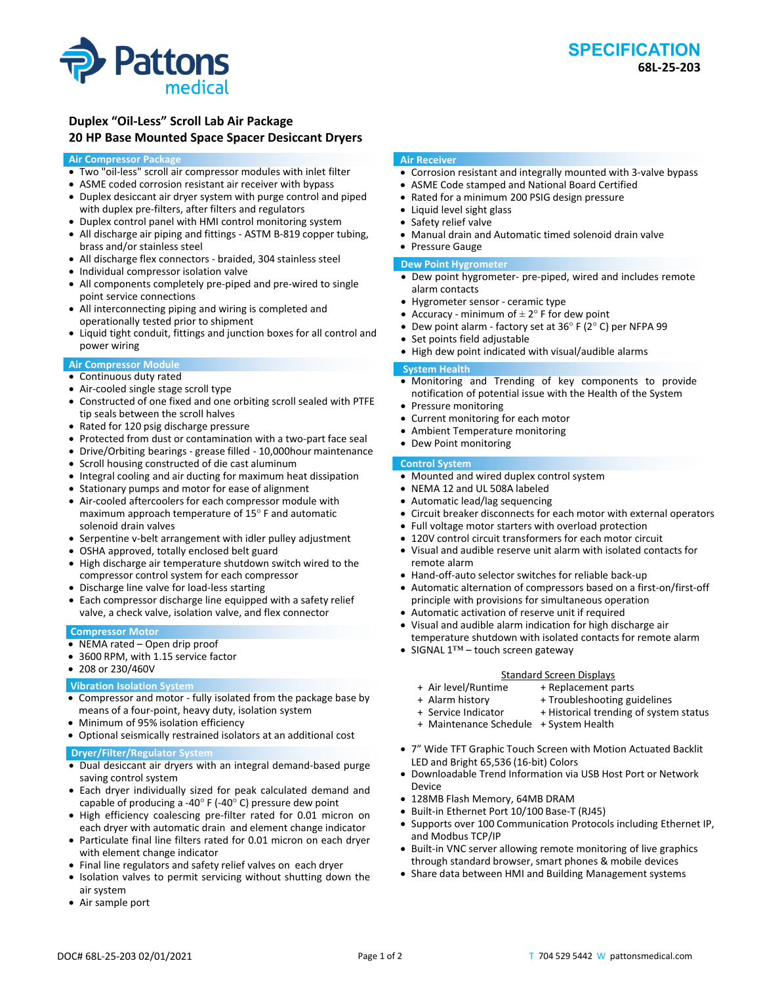

# **Duplex "Oil‐Less" Scroll Lab Air Package 20 HP Base Mounted Space Spacer Desiccant Dryers**

### **Air Compressor Package**

- Two "oil‐less" scroll air compressor modules with inlet filter
- ASME coded corrosion resistant air receiver with bypass
- Duplex desiccant air dryer system with purge control and piped with duplex pre-filters, after filters and regulators
- Duplex control panel with HMI control monitoring system
- All discharge air piping and fittings ‐ ASTM B‐819 copper tubing, brass and/or stainless steel
- All discharge flex connectors ‐ braided, 304 stainless steel
- Individual compressor isolation valve
- All components completely pre-piped and pre-wired to single point service connections
- All interconnecting piping and wiring is completed and operationally tested prior to shipment
- Liquid tight conduit, fittings and junction boxes for all control and power wiring

# **Air Compressor Module**

- Continuous duty rated
- Air-cooled single stage scroll type
- Constructed of one fixed and one orbiting scroll sealed with PTFE tip seals between the scroll halves
- Rated for 120 psig discharge pressure
- Protected from dust or contamination with a two-part face seal
- Drive/Orbiting bearings ‐ grease filled ‐ 10,000hour maintenance
- Scroll housing constructed of die cast aluminum
- Integral cooling and air ducting for maximum heat dissipation
- Stationary pumps and motor for ease of alignment
- Air-cooled aftercoolers for each compressor module with maximum approach temperature of 15° F and automatic solenoid drain valves
- Serpentine v‐belt arrangement with idler pulley adjustment
- OSHA approved, totally enclosed belt guard
- High discharge air temperature shutdown switch wired to the compressor control system for each compressor
- Discharge line valve for load-less starting
- Each compressor discharge line equipped with a safety relief valve, a check valve, isolation valve, and flex connector

# **Compressor Motor**

- NEMA rated Open drip proof
- 3600 RPM, with 1.15 service factor
- 208 or 230/460V

# **Vibration Isolation System**

- Compressor and motor ‐ fully isolated from the package base by means of a four‐point, heavy duty, isolation system
- Minimum of 95% isolation efficiency
- Optional seismically restrained isolators at an additional cost

# **Dryer/Filter/Regulator System**

- Dual desiccant air dryers with an integral demand-based purge saving control system
- Each dryer individually sized for peak calculated demand and capable of producing a ‐40° F (‐40° C) pressure dew point
- High efficiency coalescing pre-filter rated for 0.01 micron on each dryer with automatic drain and element change indicator
- Particulate final line filters rated for 0.01 micron on each dryer with element change indicator
- Final line regulators and safety relief valves on each dryer
- Isolation valves to permit servicing without shutting down the air system
- Air sample port

### **Air Receiver**

- Corrosion resistant and integrally mounted with 3-valve bypass
- ASME Code stamped and National Board Certified
- Rated for a minimum 200 PSIG design pressure
- Liquid level sight glass
- Safety relief valve
- Manual drain and Automatic timed solenoid drain valve Pressure Gauge

# **Dew Point Hygrometer**

- Dew point hygrometer‐ pre‐piped, wired and includes remote alarm contacts
- Hygrometer sensor ‐ ceramic type
- Accuracy minimum of  $\pm 2^{\circ}$  F for dew point
- Dew point alarm ‐ factory set at 36° F (2° C) per NFPA 99
- Set points field adjustable
- High dew point indicated with visual/audible alarms

### **System Health**

- Monitoring and Trending of key components to provide notification of potential issue with the Health of the System
- Pressure monitoring
- Current monitoring for each motor
- Ambient Temperature monitoring
- Dew Point monitoring

#### **Control System**

- Mounted and wired duplex control system
- NEMA 12 and UL 508A labeled
- Automatic lead/lag sequencing
- Circuit breaker disconnects for each motor with external operators
- Full voltage motor starters with overload protection
- 120V control circuit transformers for each motor circuit
- Visual and audible reserve unit alarm with isolated contacts for remote alarm
- Hand-off-auto selector switches for reliable back-up
- Automatic alternation of compressors based on a first‐on/first‐off principle with provisions for simultaneous operation
- Automatic activation of reserve unit if required
- Visual and audible alarm indication for high discharge air temperature shutdown with isolated contacts for remote alarm
- SIGNAL 1™ touch screen gateway

# Standard Screen Displays<br>Air level/Runtime + Replacement p +

- + Replacement parts
- 
- + Alarm history + Troubleshooting guidelines
- + Service Indicator + Historical trending of system status
- + Maintenance Schedule + System Health
- 7" Wide TFT Graphic Touch Screen with Motion Actuated Backlit LED and Bright 65,536 (16‐bit) Colors
- Downloadable Trend Information via USB Host Port or Network Device
- 128MB Flash Memory, 64MB DRAM
- Built‐in Ethernet Port 10/100 Base‐T (RJ45)
- Supports over 100 Communication Protocols including Ethernet IP, and Modbus TCP/IP
- Built-in VNC server allowing remote monitoring of live graphics through standard browser, smart phones & mobile devices
- Share data between HMI and Building Management systems